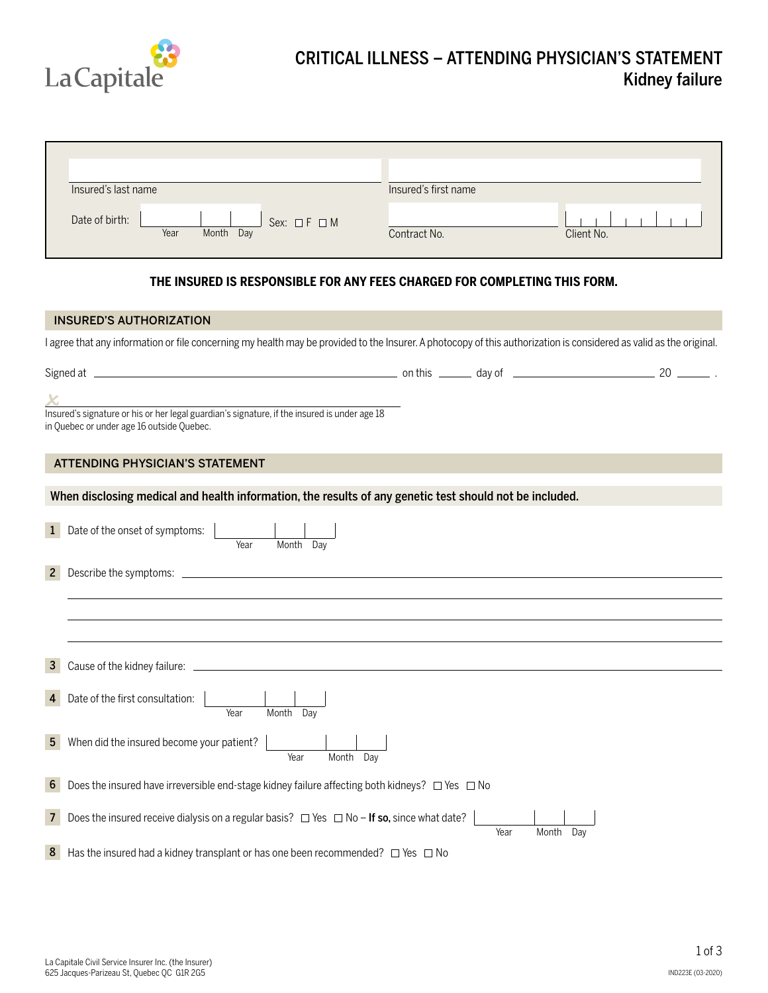

## CRITICAL ILLNESS – ATTENDING PHYSICIAN'S STATEMENT Kidney failure

| Insured's last name                                            | Insured's first name       |
|----------------------------------------------------------------|----------------------------|
| Date of birth:<br>Sex: $\Box F \Box M$<br>Year<br>Month<br>Day | Client No.<br>Contract No. |

## **THE INSURED IS RESPONSIBLE FOR ANY FEES CHARGED FOR COMPLETING THIS FORM.**

|                | <b>INSURED'S AUTHORIZATION</b>                                                                                                                                      |
|----------------|---------------------------------------------------------------------------------------------------------------------------------------------------------------------|
|                | I agree that any information or file concerning my health may be provided to the Insurer. A photocopy of this authorization is considered as valid as the original. |
|                |                                                                                                                                                                     |
|                |                                                                                                                                                                     |
|                | Insured's signature or his or her legal guardian's signature, if the insured is under age 18<br>in Quebec or under age 16 outside Quebec.                           |
|                |                                                                                                                                                                     |
|                | <b>ATTENDING PHYSICIAN'S STATEMENT</b>                                                                                                                              |
|                | When disclosing medical and health information, the results of any genetic test should not be included.                                                             |
| $\mathbf{1}$   | Date of the onset of symptoms:<br>Month Day<br>Year                                                                                                                 |
| $2^{\circ}$    |                                                                                                                                                                     |
|                |                                                                                                                                                                     |
|                |                                                                                                                                                                     |
|                |                                                                                                                                                                     |
| 3              |                                                                                                                                                                     |
| 4              | Date of the first consultation:<br>Month Day<br>Year                                                                                                                |
| 5              | When did the insured become your patient?<br>Month Day<br>Year                                                                                                      |
| 6              | Does the insured have irreversible end-stage kidney failure affecting both kidneys? $\Box$ Yes $\Box$ No                                                            |
| 7 <sup>1</sup> | Does the insured receive dialysis on a regular basis? $\Box$ Yes $\Box$ No - If so, since what date?<br>Year<br>Month Dav                                           |
| 8              | Has the insured had a kidney transplant or has one been recommended? $\Box$ Yes $\Box$ No                                                                           |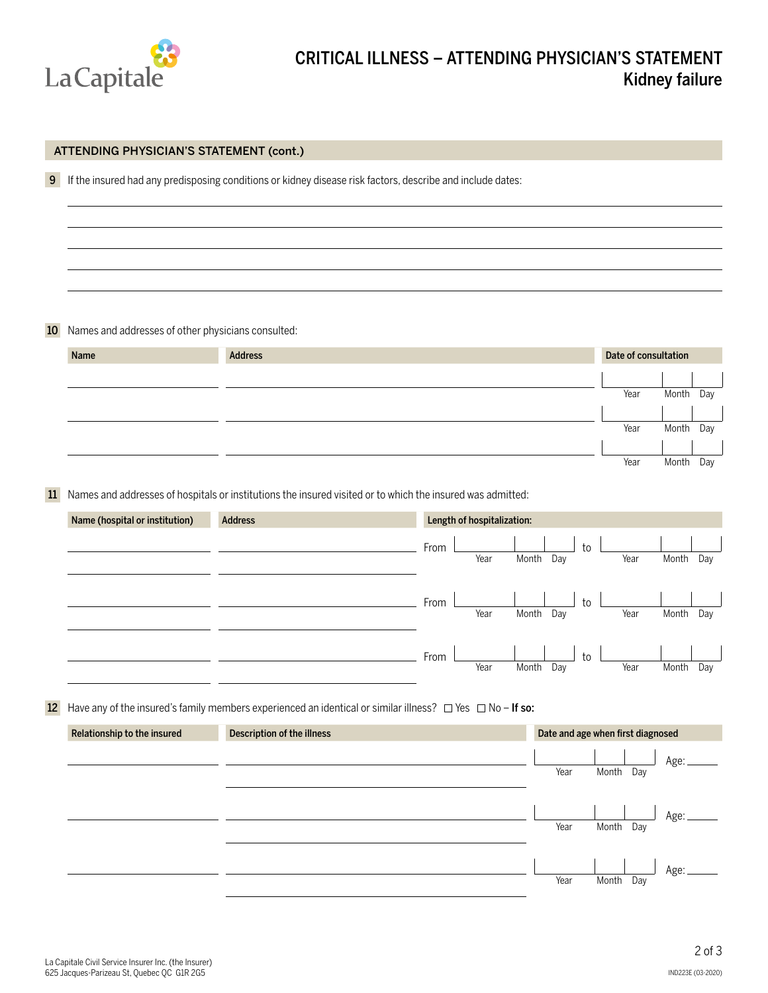

|    | ATTENDING PHYSICIAN'S STATEMENT (cont.)            |                            |                                                                                                                        |  |  |  |  |  |
|----|----------------------------------------------------|----------------------------|------------------------------------------------------------------------------------------------------------------------|--|--|--|--|--|
| 9  |                                                    |                            | If the insured had any predisposing conditions or kidney disease risk factors, describe and include dates:             |  |  |  |  |  |
|    |                                                    |                            |                                                                                                                        |  |  |  |  |  |
|    |                                                    |                            |                                                                                                                        |  |  |  |  |  |
|    |                                                    |                            |                                                                                                                        |  |  |  |  |  |
| 10 | Names and addresses of other physicians consulted: |                            |                                                                                                                        |  |  |  |  |  |
|    | Name                                               | <b>Address</b>             | Date of consultation                                                                                                   |  |  |  |  |  |
|    |                                                    |                            |                                                                                                                        |  |  |  |  |  |
|    |                                                    |                            | Year<br>Month<br>Day                                                                                                   |  |  |  |  |  |
|    |                                                    |                            | Year<br>Month<br>Day                                                                                                   |  |  |  |  |  |
|    |                                                    |                            | Year<br>Month<br>Day                                                                                                   |  |  |  |  |  |
| 11 |                                                    |                            | Names and addresses of hospitals or institutions the insured visited or to which the insured was admitted:             |  |  |  |  |  |
|    | Name (hospital or institution)                     | <b>Address</b>             | Length of hospitalization:                                                                                             |  |  |  |  |  |
|    |                                                    |                            | From<br>to<br>Year<br>Month<br>Year<br>Month<br>Day<br>Day                                                             |  |  |  |  |  |
|    |                                                    |                            |                                                                                                                        |  |  |  |  |  |
|    |                                                    |                            | From<br>to<br>Year<br>Month Day<br>Year<br>Month<br>Day                                                                |  |  |  |  |  |
|    |                                                    |                            | From<br>to<br>Year<br>Year<br>Day<br>Month<br>Day<br>Month                                                             |  |  |  |  |  |
|    |                                                    |                            |                                                                                                                        |  |  |  |  |  |
|    |                                                    |                            | 12 Have any of the insured's family members experienced an identical or similar illness? $\Box$ Yes $\Box$ No - If so: |  |  |  |  |  |
|    | Relationship to the insured                        | Description of the illness | Date and age when first diagnosed                                                                                      |  |  |  |  |  |
|    |                                                    |                            | Age:                                                                                                                   |  |  |  |  |  |
|    |                                                    |                            | Year<br>Month Day                                                                                                      |  |  |  |  |  |
|    |                                                    |                            | Age:<br>Year<br>Month Day                                                                                              |  |  |  |  |  |
|    |                                                    |                            |                                                                                                                        |  |  |  |  |  |
|    |                                                    |                            | Age:<br>Year<br>Month Day                                                                                              |  |  |  |  |  |